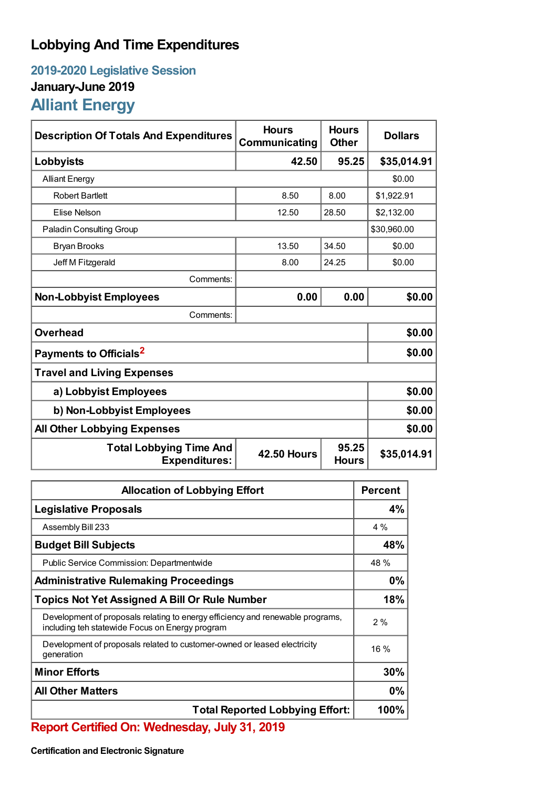## **Lobbying And Time Expenditures**

## **2019-2020 Legislative Session January-June 2019 Alliant Energy**

| <b>Description Of Totals And Expenditures</b>          | <b>Hours</b><br>Communicating | <b>Hours</b><br><b>Other</b> | <b>Dollars</b> |  |
|--------------------------------------------------------|-------------------------------|------------------------------|----------------|--|
| Lobbyists                                              | 42.50                         | 95.25                        | \$35,014.91    |  |
| <b>Alliant Energy</b>                                  |                               |                              | \$0.00         |  |
| <b>Robert Bartlett</b>                                 | 8.50                          | 8.00                         | \$1,922.91     |  |
| Elise Nelson                                           | 12.50                         | 28.50                        | \$2,132.00     |  |
| <b>Paladin Consulting Group</b>                        |                               |                              | \$30,960.00    |  |
| <b>Bryan Brooks</b>                                    | 13.50                         | 34.50                        | \$0.00         |  |
| Jeff M Fitzgerald                                      | 8.00                          | 24.25                        | \$0.00         |  |
| Comments:                                              |                               |                              |                |  |
| <b>Non-Lobbyist Employees</b>                          | 0.00                          | 0.00                         | \$0.00         |  |
| Comments:                                              |                               |                              |                |  |
| <b>Overhead</b>                                        |                               |                              | \$0.00         |  |
| Payments to Officials <sup>2</sup>                     |                               |                              | \$0.00         |  |
| <b>Travel and Living Expenses</b>                      |                               |                              |                |  |
| a) Lobbyist Employees                                  |                               |                              | \$0.00         |  |
| b) Non-Lobbyist Employees                              |                               |                              | \$0.00         |  |
| <b>All Other Lobbying Expenses</b>                     |                               |                              | \$0.00         |  |
| <b>Total Lobbying Time And</b><br><b>Expenditures:</b> | <b>42.50 Hours</b>            | 95.25<br><b>Hours</b>        | \$35,014.91    |  |

| <b>Allocation of Lobbying Effort</b>                                                                                              |       |
|-----------------------------------------------------------------------------------------------------------------------------------|-------|
| <b>Legislative Proposals</b>                                                                                                      | 4%    |
| Assembly Bill 233                                                                                                                 | $4\%$ |
| <b>Budget Bill Subjects</b>                                                                                                       | 48%   |
| Public Service Commission: Departmentwide                                                                                         | 48 %  |
| <b>Administrative Rulemaking Proceedings</b>                                                                                      | 0%    |
| <b>Topics Not Yet Assigned A Bill Or Rule Number</b>                                                                              |       |
| Development of proposals relating to energy efficiency and renewable programs,<br>including teh statewide Focus on Energy program | 2%    |
| Development of proposals related to customer-owned or leased electricity<br>generation                                            | 16 %  |
| <b>Minor Efforts</b>                                                                                                              | 30%   |
| <b>All Other Matters</b>                                                                                                          |       |
| <b>Total Reported Lobbying Effort:</b>                                                                                            |       |

**Report Certified On: Wednesday, July 31, 2019**